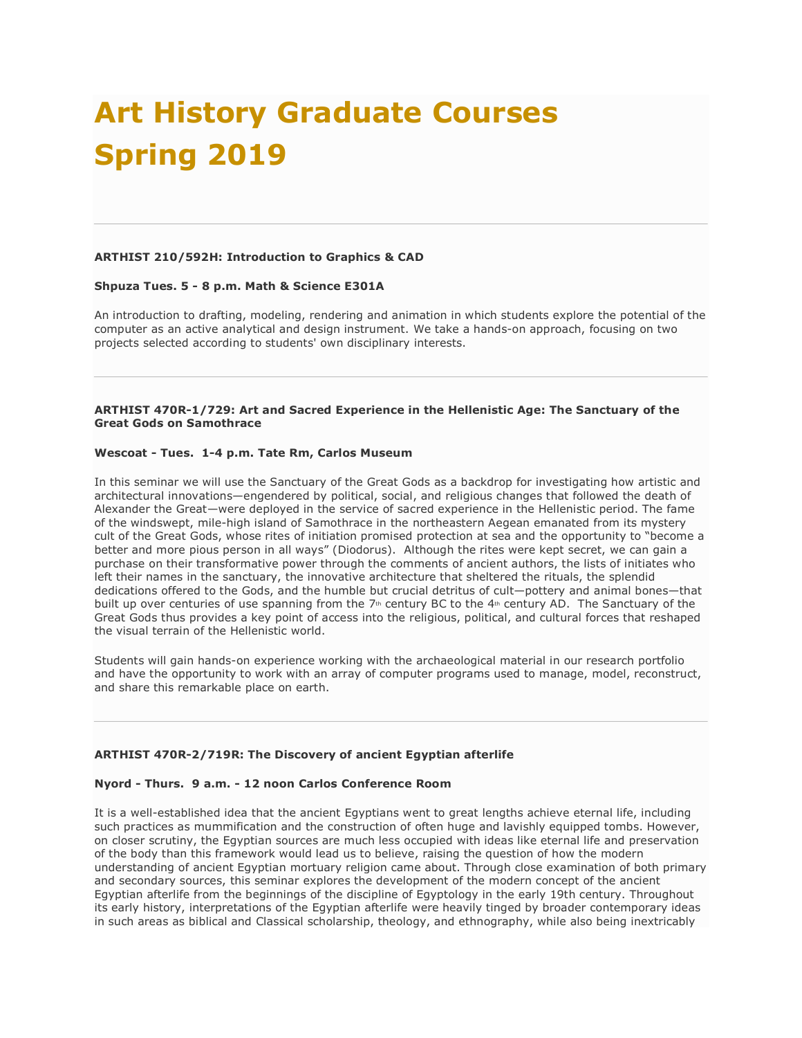# **Art History Graduate Courses Spring 2019**

## **ARTHIST 210/592H: Introduction to Graphics & CAD**

## **Shpuza Tues. 5 - 8 p.m. Math & Science E301A**

An introduction to drafting, modeling, rendering and animation in which students explore the potential of the computer as an active analytical and design instrument. We take a hands-on approach, focusing on two projects selected according to students' own disciplinary interests.

# **ARTHIST 470R-1/729: Art and Sacred Experience in the Hellenistic Age: The Sanctuary of the Great Gods on Samothrace**

## **Wescoat - Tues. 1-4 p.m. Tate Rm, Carlos Museum**

In this seminar we will use the Sanctuary of the Great Gods as a backdrop for investigating how artistic and architectural innovations—engendered by political, social, and religious changes that followed the death of Alexander the Great—were deployed in the service of sacred experience in the Hellenistic period. The fame of the windswept, mile-high island of Samothrace in the northeastern Aegean emanated from its mystery cult of the Great Gods, whose rites of initiation promised protection at sea and the opportunity to "become a better and more pious person in all ways" (Diodorus). Although the rites were kept secret, we can gain a purchase on their transformative power through the comments of ancient authors, the lists of initiates who left their names in the sanctuary, the innovative architecture that sheltered the rituals, the splendid dedications offered to the Gods, and the humble but crucial detritus of cult—pottery and animal bones—that built up over centuries of use spanning from the 7<sup>th</sup> century BC to the 4<sup>th</sup> century AD. The Sanctuary of the Great Gods thus provides a key point of access into the religious, political, and cultural forces that reshaped the visual terrain of the Hellenistic world.

Students will gain hands-on experience working with the archaeological material in our research portfolio and have the opportunity to work with an array of computer programs used to manage, model, reconstruct, and share this remarkable place on earth.

## **ARTHIST 470R-2/719R: The Discovery of ancient Egyptian afterlife**

#### **Nyord - Thurs. 9 a.m. - 12 noon Carlos Conference Room**

It is a well-established idea that the ancient Egyptians went to great lengths achieve eternal life, including such practices as mummification and the construction of often huge and lavishly equipped tombs. However, on closer scrutiny, the Egyptian sources are much less occupied with ideas like eternal life and preservation of the body than this framework would lead us to believe, raising the question of how the modern understanding of ancient Egyptian mortuary religion came about. Through close examination of both primary and secondary sources, this seminar explores the development of the modern concept of the ancient Egyptian afterlife from the beginnings of the discipline of Egyptology in the early 19th century. Throughout its early history, interpretations of the Egyptian afterlife were heavily tinged by broader contemporary ideas in such areas as biblical and Classical scholarship, theology, and ethnography, while also being inextricably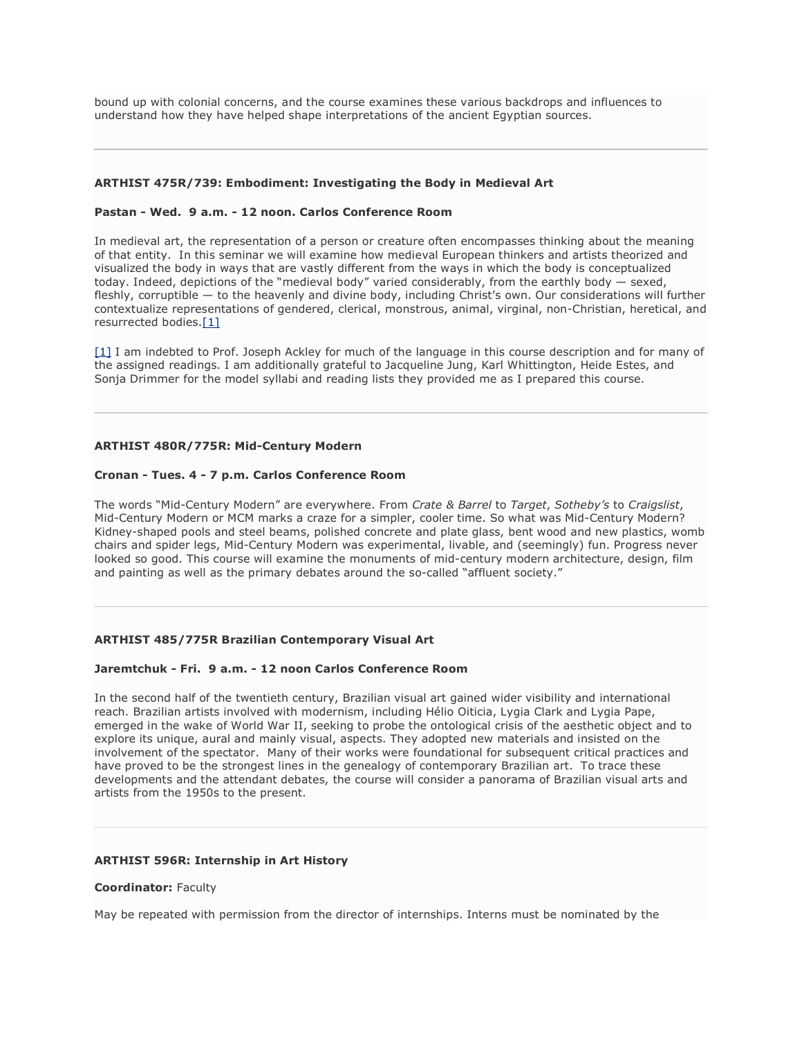bound up with colonial concerns, and the course examines these various backdrops and influences to understand how they have helped shape interpretations of the ancient Egyptian sources.

# **ARTHIST 475R/739: Embodiment: Investigating the Body in Medieval Art**

#### **Pastan - Wed. 9 a.m. - 12 noon. Carlos Conference Room**

In medieval art, the representation of a person or creature often encompasses thinking about the meaning of that entity. In this seminar we will examine how medieval European thinkers and artists theorized and visualized the body in ways that are vastly different from the ways in which the body is conceptualized today. Indeed, depictions of the "medieval body" varied considerably, from the earthly body — sexed, fleshly, corruptible — to the heavenly and divine body, including Christ's own. Our considerations will further contextualize representations of gendered, clerical, monstrous, animal, virginal, non-Christian, heretical, and resurrected bodies.[1]

[1] I am indebted to Prof. Joseph Ackley for much of the language in this course description and for many of the assigned readings. I am additionally grateful to Jacqueline Jung, Karl Whittington, Heide Estes, and Sonja Drimmer for the model syllabi and reading lists they provided me as I prepared this course.

# **ARTHIST 480R/775R: Mid-Century Modern**

## **Cronan - Tues. 4 - 7 p.m. Carlos Conference Room**

The words "Mid-Century Modern" are everywhere. From *Crate & Barrel* to *Target*, *Sotheby's* to *Craigslist*, Mid-Century Modern or MCM marks a craze for a simpler, cooler time. So what was Mid-Century Modern? Kidney-shaped pools and steel beams, polished concrete and plate glass, bent wood and new plastics, womb chairs and spider legs, Mid-Century Modern was experimental, livable, and (seemingly) fun. Progress never looked so good. This course will examine the monuments of mid-century modern architecture, design, film and painting as well as the primary debates around the so-called "affluent society."

## **ARTHIST 485/775R Brazilian Contemporary Visual Art**

## **Jaremtchuk - Fri. 9 a.m. - 12 noon Carlos Conference Room**

In the second half of the twentieth century, Brazilian visual art gained wider visibility and international reach. Brazilian artists involved with modernism, including Hélio Oiticia, Lygia Clark and Lygia Pape, emerged in the wake of World War II, seeking to probe the ontological crisis of the aesthetic object and to explore its unique, aural and mainly visual, aspects. They adopted new materials and insisted on the involvement of the spectator. Many of their works were foundational for subsequent critical practices and have proved to be the strongest lines in the genealogy of contemporary Brazilian art. To trace these developments and the attendant debates, the course will consider a panorama of Brazilian visual arts and artists from the 1950s to the present.

# **ARTHIST 596R: Internship in Art History**

## **Coordinator:** Faculty

May be repeated with permission from the director of internships. Interns must be nominated by the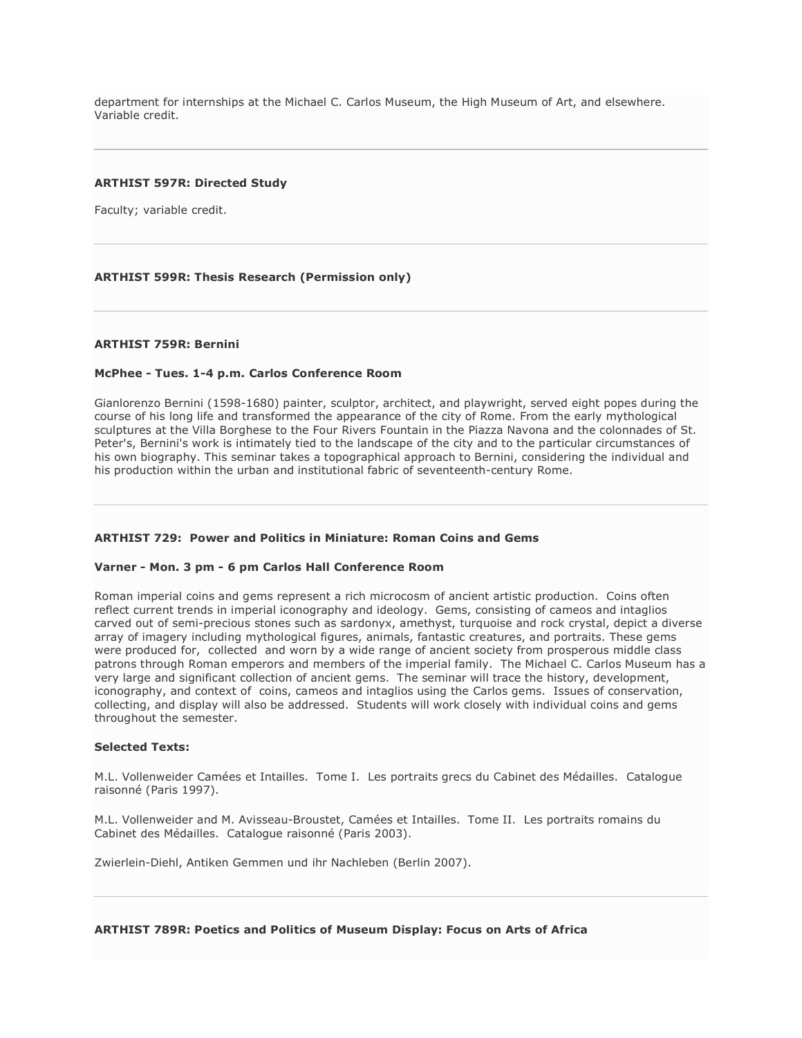department for internships at the Michael C. Carlos Museum, the High Museum of Art, and elsewhere. Variable credit.

## **ARTHIST 597R: Directed Study**

Faculty; variable credit.

# **ARTHIST 599R: Thesis Research (Permission only)**

#### **ARTHIST 759R: Bernini**

#### **McPhee - Tues. 1-4 p.m. Carlos Conference Room**

Gianlorenzo Bernini (1598-1680) painter, sculptor, architect, and playwright, served eight popes during the course of his long life and transformed the appearance of the city of Rome. From the early mythological sculptures at the Villa Borghese to the Four Rivers Fountain in the Piazza Navona and the colonnades of St. Peter's, Bernini's work is intimately tied to the landscape of the city and to the particular circumstances of his own biography. This seminar takes a topographical approach to Bernini, considering the individual and his production within the urban and institutional fabric of seventeenth-century Rome.

## **ARTHIST 729: Power and Politics in Miniature: Roman Coins and Gems**

#### **Varner - Mon. 3 pm - 6 pm Carlos Hall Conference Room**

Roman imperial coins and gems represent a rich microcosm of ancient artistic production. Coins often reflect current trends in imperial iconography and ideology. Gems, consisting of cameos and intaglios carved out of semi-precious stones such as sardonyx, amethyst, turquoise and rock crystal, depict a diverse array of imagery including mythological figures, animals, fantastic creatures, and portraits. These gems were produced for, collected and worn by a wide range of ancient society from prosperous middle class patrons through Roman emperors and members of the imperial family. The Michael C. Carlos Museum has a very large and significant collection of ancient gems. The seminar will trace the history, development, iconography, and context of coins, cameos and intaglios using the Carlos gems. Issues of conservation, collecting, and display will also be addressed. Students will work closely with individual coins and gems throughout the semester.

#### **Selected Texts:**

M.L. Vollenweider Camées et Intailles. Tome I. Les portraits grecs du Cabinet des Médailles. Catalogue raisonné (Paris 1997).

M.L. Vollenweider and M. Avisseau-Broustet, Camées et Intailles. Tome II. Les portraits romains du Cabinet des Médailles. Catalogue raisonné (Paris 2003).

Zwierlein-Diehl, Antiken Gemmen und ihr Nachleben (Berlin 2007).

**ARTHIST 789R: Poetics and Politics of Museum Display: Focus on Arts of Africa**